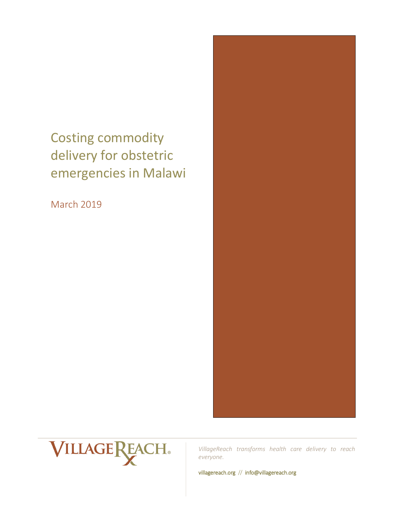# Costing commodity delivery for obstetric emergencies in Malawi

March 2019





*VillageReach transforms health care delivery to reach everyone.*

villagereach.org // info@villagereach.org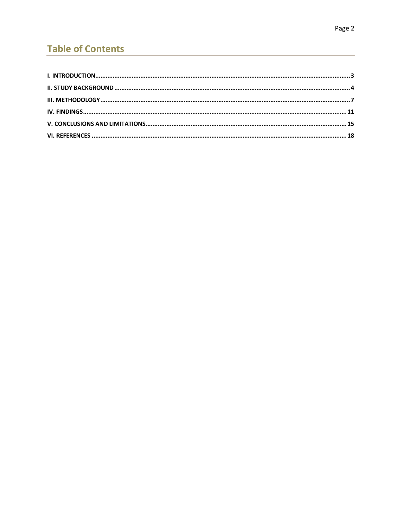# **Table of Contents**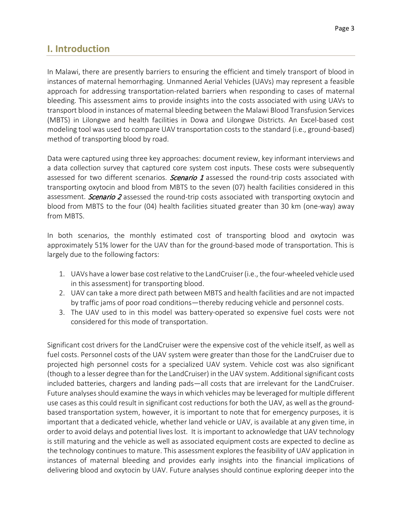# <span id="page-2-0"></span>**I. Introduction**

In Malawi, there are presently barriers to ensuring the efficient and timely transport of blood in instances of maternal hemorrhaging. Unmanned Aerial Vehicles (UAVs) may represent a feasible approach for addressing transportation-related barriers when responding to cases of maternal bleeding. This assessment aims to provide insights into the costs associated with using UAVs to transport blood in instances of maternal bleeding between the Malawi Blood Transfusion Services (MBTS) in Lilongwe and health facilities in Dowa and Lilongwe Districts. An Excel-based cost modeling tool was used to compare UAV transportation costs to the standard (i.e., ground-based) method of transporting blood by road.

Data were captured using three key approaches: document review, key informant interviews and a data collection survey that captured core system cost inputs. These costs were subsequently assessed for two different scenarios. Scenario 1 assessed the round-trip costs associated with transporting oxytocin and blood from MBTS to the seven (07) health facilities considered in this assessment. *Scenario 2* assessed the round-trip costs associated with transporting oxytocin and blood from MBTS to the four (04) health facilities situated greater than 30 km (one-way) away from MBTS.

In both scenarios, the monthly estimated cost of transporting blood and oxytocin was approximately 51% lower for the UAV than for the ground-based mode of transportation. This is largely due to the following factors:

- 1. UAVs have a lower base cost relative to the LandCruiser (i.e., the four-wheeled vehicle used in this assessment) for transporting blood.
- 2. UAV can take a more direct path between MBTS and health facilities and are not impacted by traffic jams of poor road conditions—thereby reducing vehicle and personnel costs.
- 3. The UAV used to in this model was battery-operated so expensive fuel costs were not considered for this mode of transportation.

Significant cost drivers for the LandCruiser were the expensive cost of the vehicle itself, as well as fuel costs. Personnel costs of the UAV system were greater than those for the LandCruiser due to projected high personnel costs for a specialized UAV system. Vehicle cost was also significant (though to a lesser degree than for the LandCruiser) in the UAV system. Additional significant costs included batteries, chargers and landing pads—all costs that are irrelevant for the LandCruiser. Future analyses should examine the ways in which vehicles may be leveraged for multiple different use cases as this could result in significant cost reductions for both the UAV, as well as the groundbased transportation system, however, it is important to note that for emergency purposes, it is important that a dedicated vehicle, whether land vehicle or UAV, is available at any given time, in order to avoid delays and potential lives lost. It is important to acknowledge that UAV technology is still maturing and the vehicle as well as associated equipment costs are expected to decline as the technology continues to mature. This assessment explores the feasibility of UAV application in instances of maternal bleeding and provides early insights into the financial implications of delivering blood and oxytocin by UAV. Future analyses should continue exploring deeper into the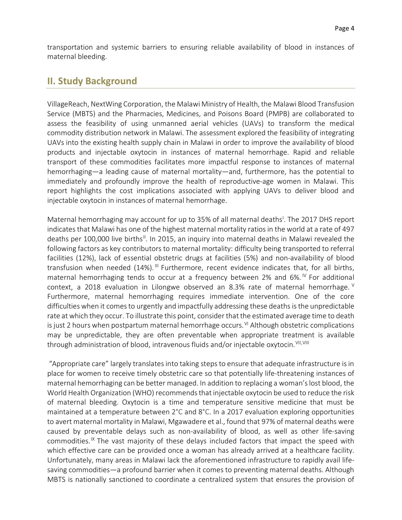transportation and systemic barriers to ensuring reliable availability of blood in instances of maternal bleeding.

## <span id="page-3-0"></span>**II. Study Background**

VillageReach, NextWing Corporation, the Malawi Ministry of Health, the Malawi Blood Transfusion Service (MBTS) and the Pharmacies, Medicines, and Poisons Board (PMPB) are collaborated to assess the feasibility of using unmanned aerial vehicles (UAVs) to transform the medical commodity distribution network in Malawi. The assessment explored the feasibility of integrating UAVs into the existing health supply chain in Malawi in order to improve the availability of blood products and injectable oxytocin in instances of maternal hemorrhage. Rapid and reliable transport of these commodities facilitates more impactful response to instances of maternal hemorrhaging—a leading cause of maternal mortality—and, furthermore, has the potential to immediately and profoundly improve the health of reproductive-age women in Malawi. This report highlights the cost implications associated with applying UAVs to deliver blood and injectable oxytocin in instances of maternal hemorrhage.

Maternal hemorrhaging may account for up to 35% of all maternal deaths<sup>1</sup>. The 2017 DHS report indicates that Malawi has one of the highest maternal mortality ratios in the world at a rate of 497 deaths per 100,000 live births<sup>||</sup>. In 2015, an inquiry into maternal deaths in Malawi revealed the following factors as key contributors to maternal mortality: difficulty being transported to referral facilities (12%), lack of essential obstetric drugs at facilities (5%) and non-availability of blood transfusion when needed (14%).<sup>[III](#page-17-3)</sup> Furthermore, recent evidence indicates that, for all births, maternal hemorrhaging tends to occur at a frequency between 2% and 6%. <sup> $V$ </sup> For additional context, a 2018 evaluation in Lilongwe observed an 8.3% rate of maternal hemorrhage.  $V$ Furthermore, maternal hemorrhaging requires immediate intervention. One of the core difficulties when it comes to urgently and impactfully addressing these deaths is the unpredictable rate at which they occur. To illustrate this point, consider that the estimated average time to death is just 2 hours when postpartum maternal hemorrhage occurs. [VI](#page-17-6) Although obstetric complications may be unpredictable, they are often preventable when appropriate treatment is available through administration of blood, intravenous fluids and/or injectable oxytocin. [VII](#page-17-7), [VIII](#page-17-8)

"Appropriate care" largely translates into taking steps to ensure that adequate infrastructure is in place for women to receive timely obstetric care so that potentially life-threatening instances of maternal hemorrhaging can be better managed. In addition to replacing a woman's lost blood, the World Health Organization (WHO) recommends that injectable oxytocin be used to reduce the risk of maternal bleeding. Oxytocin is a time and temperature sensitive medicine that must be maintained at a temperature between 2°C and 8°C. In a 2017 evaluation exploring opportunities to avert maternal mortality in Malawi, Mgawadere et al., found that 97% of maternal deaths were caused by preventable delays such as non-availability of blood, as well as other life-saving commodities.<sup>[IX](#page-17-9)</sup> The vast majority of these delays included factors that impact the speed with which effective care can be provided once a woman has already arrived at a healthcare facility. Unfortunately, many areas in Malawi lack the aforementioned infrastructure to rapidly avail lifesaving commodities—a profound barrier when it comes to preventing maternal deaths. Although MBTS is nationally sanctioned to coordinate a centralized system that ensures the provision of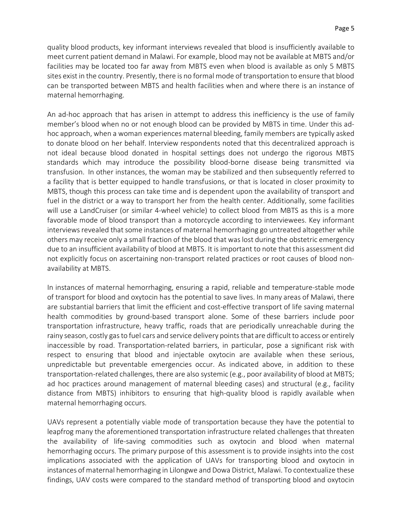quality blood products, key informant interviews revealed that blood is insufficiently available to meet current patient demand in Malawi. For example, blood may not be available at MBTS and/or facilities may be located too far away from MBTS even when blood is available as only 5 MBTS sites exist in the country. Presently, there is no formal mode of transportation to ensure that blood can be transported between MBTS and health facilities when and where there is an instance of maternal hemorrhaging.

An ad-hoc approach that has arisen in attempt to address this inefficiency is the use of family member's blood when no or not enough blood can be provided by MBTS in time. Under this adhoc approach, when a woman experiences maternal bleeding, family members are typically asked to donate blood on her behalf. Interview respondents noted that this decentralized approach is not ideal because blood donated in hospital settings does not undergo the rigorous MBTS standards which may introduce the possibility blood-borne disease being transmitted via transfusion. In other instances, the woman may be stabilized and then subsequently referred to a facility that is better equipped to handle transfusions, or that is located in closer proximity to MBTS, though this process can take time and is dependent upon the availability of transport and fuel in the district or a way to transport her from the health center. Additionally, some facilities will use a LandCruiser (or similar 4-wheel vehicle) to collect blood from MBTS as this is a more favorable mode of blood transport than a motorcycle according to interviewees. Key informant interviews revealed that some instances of maternal hemorrhaging go untreated altogether while others may receive only a small fraction of the blood that was lost during the obstetric emergency due to an insufficient availability of blood at MBTS. It is important to note that this assessment did not explicitly focus on ascertaining non-transport related practices or root causes of blood nonavailability at MBTS.

In instances of maternal hemorrhaging, ensuring a rapid, reliable and temperature-stable mode of transport for blood and oxytocin has the potential to save lives. In many areas of Malawi, there are substantial barriers that limit the efficient and cost-effective transport of life saving maternal health commodities by ground-based transport alone. Some of these barriers include poor transportation infrastructure, heavy traffic, roads that are periodically unreachable during the rainy season, costly gas to fuel cars and service delivery points that are difficult to access or entirely inaccessible by road. Transportation-related barriers, in particular, pose a significant risk with respect to ensuring that blood and injectable oxytocin are available when these serious, unpredictable but preventable emergencies occur. As indicated above, in addition to these transportation-related challenges, there are also systemic (e.g., poor availability of blood at MBTS; ad hoc practices around management of maternal bleeding cases) and structural (e.g., facility distance from MBTS) inhibitors to ensuring that high-quality blood is rapidly available when maternal hemorrhaging occurs.

UAVs represent a potentially viable mode of transportation because they have the potential to leapfrog many the aforementioned transportation infrastructure related challenges that threaten the availability of life-saving commodities such as oxytocin and blood when maternal hemorrhaging occurs. The primary purpose of this assessment is to provide insights into the cost implications associated with the application of UAVs for transporting blood and oxytocin in instances of maternal hemorrhaging in Lilongwe and Dowa District, Malawi. To contextualize these findings, UAV costs were compared to the standard method of transporting blood and oxytocin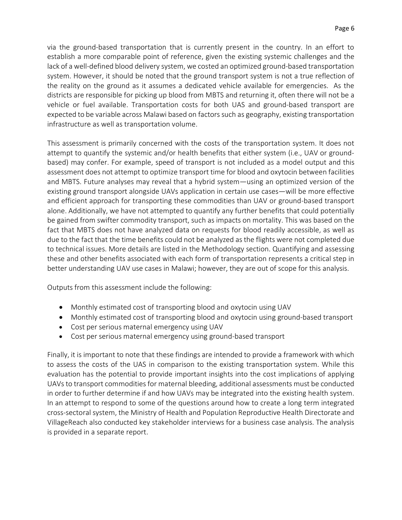via the ground-based transportation that is currently present in the country. In an effort to establish a more comparable point of reference, given the existing systemic challenges and the lack of a well-defined blood delivery system, we costed an optimized ground-based transportation system. However, it should be noted that the ground transport system is not a true reflection of the reality on the ground as it assumes a dedicated vehicle available for emergencies. As the districts are responsible for picking up blood from MBTS and returning it, often there will not be a vehicle or fuel available. Transportation costs for both UAS and ground-based transport are expected to be variable across Malawi based on factors such as geography, existing transportation infrastructure as well as transportation volume.

This assessment is primarily concerned with the costs of the transportation system. It does not attempt to quantify the systemic and/or health benefits that either system (i.e., UAV or groundbased) may confer. For example, speed of transport is not included as a model output and this assessment does not attempt to optimize transport time for blood and oxytocin between facilities and MBTS. Future analyses may reveal that a hybrid system—using an optimized version of the existing ground transport alongside UAVs application in certain use cases—will be more effective and efficient approach for transporting these commodities than UAV or ground-based transport alone. Additionally, we have not attempted to quantify any further benefits that could potentially be gained from swifter commodity transport, such as impacts on mortality. This was based on the fact that MBTS does not have analyzed data on requests for blood readily accessible, as well as due to the fact that the time benefits could not be analyzed as the flights were not completed due to technical issues. More details are listed in the Methodology section. Quantifying and assessing these and other benefits associated with each form of transportation represents a critical step in better understanding UAV use cases in Malawi; however, they are out of scope for this analysis.

Outputs from this assessment include the following:

- Monthly estimated cost of transporting blood and oxytocin using UAV
- Monthly estimated cost of transporting blood and oxytocin using ground-based transport
- Cost per serious maternal emergency using UAV
- Cost per serious maternal emergency using ground-based transport

Finally, it is important to note that these findings are intended to provide a framework with which to assess the costs of the UAS in comparison to the existing transportation system. While this evaluation has the potential to provide important insights into the cost implications of applying UAVs to transport commoditiesfor maternal bleeding, additional assessments must be conducted in order to further determine if and how UAVs may be integrated into the existing health system. In an attempt to respond to some of the questions around how to create a long term integrated cross-sectoral system, the Ministry of Health and Population Reproductive Health Directorate and VillageReach also conducted key stakeholder interviews for a business case analysis. The analysis is provided in a separate report.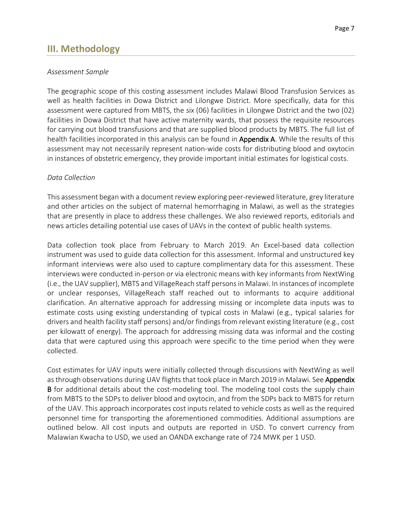# <span id="page-6-0"></span>**III. Methodology**

#### *Assessment Sample*

The geographic scope of this costing assessment includes Malawi Blood Transfusion Services as well as health facilities in Dowa District and Lilongwe District. More specifically, data for this assessment were captured from MBTS, the six (06) facilities in Lilongwe District and the two (02) facilities in Dowa District that have active maternity wards, that possess the requisite resources for carrying out blood transfusions and that are supplied blood products by MBTS. The full list of health facilities incorporated in this analysis can be found in **Appendix A**. While the results of this assessment may not necessarily represent nation-wide costs for distributing blood and oxytocin in instances of obstetric emergency, they provide important initial estimates for logistical costs.

#### *Data Collection*

This assessment began with a document review exploring peer-reviewed literature, grey literature and other articles on the subject of maternal hemorrhaging in Malawi, as well as the strategies that are presently in place to address these challenges. We also reviewed reports, editorials and news articles detailing potential use cases of UAVs in the context of public health systems.

Data collection took place from February to March 2019. An Excel-based data collection instrument was used to guide data collection for this assessment. Informal and unstructured key informant interviews were also used to capture complimentary data for this assessment. These interviews were conducted in-person or via electronic means with key informants from NextWing (i.e., the UAV supplier), MBTS and VillageReach staff persons in Malawi. In instances of incomplete or unclear responses, VillageReach staff reached out to informants to acquire additional clarification. An alternative approach for addressing missing or incomplete data inputs was to estimate costs using existing understanding of typical costs in Malawi (e.g., typical salaries for drivers and health facility staff persons) and/or findings from relevant existing literature (e.g., cost per kilowatt of energy). The approach for addressing missing data was informal and the costing data that were captured using this approach were specific to the time period when they were collected.

Cost estimates for UAV inputs were initially collected through discussions with NextWing as well as through observations during UAV flights that took place in March 2019 in Malawi. See Appendix B for additional details about the cost-modeling tool. The modeling tool costs the supply chain from MBTS to the SDPs to deliver blood and oxytocin, and from the SDPs back to MBTS for return of the UAV. This approach incorporates cost inputs related to vehicle costs as well as the required personnel time for transporting the aforementioned commodities. Additional assumptions are outlined below. All cost inputs and outputs are reported in USD. To convert currency from Malawian Kwacha to USD, we used an OANDA exchange rate of 724 MWK per 1 USD.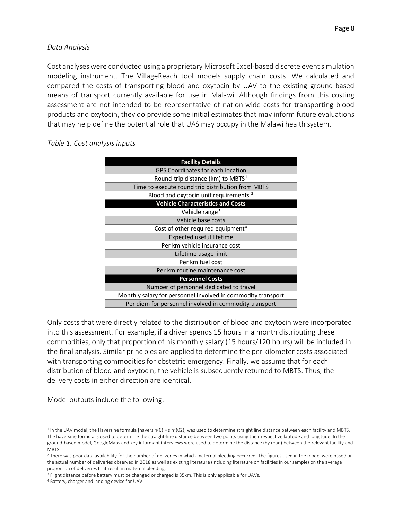#### *Data Analysis*

Cost analyses were conducted using a proprietary Microsoft Excel-based discrete event simulation modeling instrument. The VillageReach tool models supply chain costs. We calculated and compared the costs of transporting blood and oxytocin by UAV to the existing ground-based means of transport currently available for use in Malawi. Although findings from this costing assessment are not intended to be representative of nation-wide costs for transporting blood products and oxytocin, they do provide some initial estimates that may inform future evaluations that may help define the potential role that UAS may occupy in the Malawi health system.

| <b>Facility Details</b>                                      |  |  |  |
|--------------------------------------------------------------|--|--|--|
| <b>GPS Coordinates for each location</b>                     |  |  |  |
| Round-trip distance (km) to MBTS <sup>1</sup>                |  |  |  |
| Time to execute round trip distribution from MBTS            |  |  |  |
| Blood and oxytocin unit requirements <sup>2</sup>            |  |  |  |
| <b>Vehicle Characteristics and Costs</b>                     |  |  |  |
| Vehicle range <sup>3</sup>                                   |  |  |  |
| Vehicle base costs                                           |  |  |  |
| Cost of other required equipment <sup>4</sup>                |  |  |  |
| <b>Expected useful lifetime</b>                              |  |  |  |
| Per km vehicle insurance cost                                |  |  |  |
| Lifetime usage limit                                         |  |  |  |
| Per km fuel cost                                             |  |  |  |
| Per km routine maintenance cost                              |  |  |  |
| <b>Personnel Costs</b>                                       |  |  |  |
| Number of personnel dedicated to travel                      |  |  |  |
| Monthly salary for personnel involved in commodity transport |  |  |  |
| Per diem for personnel involved in commodity transport       |  |  |  |

*Table 1. Cost analysis inputs*

Only costs that were directly related to the distribution of blood and oxytocin were incorporated into this assessment. For example, if a driver spends 15 hours in a month distributing these commodities, only that proportion of his monthly salary (15 hours/120 hours) will be included in the final analysis. Similar principles are applied to determine the per kilometer costs associated with transporting commodities for obstetric emergency. Finally, we assume that for each distribution of blood and oxytocin, the vehicle is subsequently returned to MBTS. Thus, the delivery costs in either direction are identical.

Model outputs include the following:

 $\overline{a}$ 

<span id="page-7-0"></span><sup>&</sup>lt;sup>1</sup> In the UAV model, the Haversine formula [haversin(θ) = sin<sup>2</sup>(θ2)] was used to determine straight line distance between each facility and MBTS. The haversine formula is used to determine the straight-line distance between two points using their respective latitude and longitude. In the ground-based model, GoogleMaps and key informant interviews were used to determine the distance (by road) between the relevant facility and MBTS.

<span id="page-7-1"></span><sup>&</sup>lt;sup>2</sup> There was poor data availability for the number of deliveries in which maternal bleeding occurred. The figures used in the model were based on the actual number of deliveries observed in 2018 as well as existing literature (including literature on facilities in our sample) on the average proportion of deliveries that result in maternal bleeding.

<span id="page-7-2"></span><sup>&</sup>lt;sup>3</sup> Flight distance before battery must be changed or charged is 35km. This is only applicable for UAVs.

<span id="page-7-3"></span><sup>4</sup> Battery, charger and landing device for UAV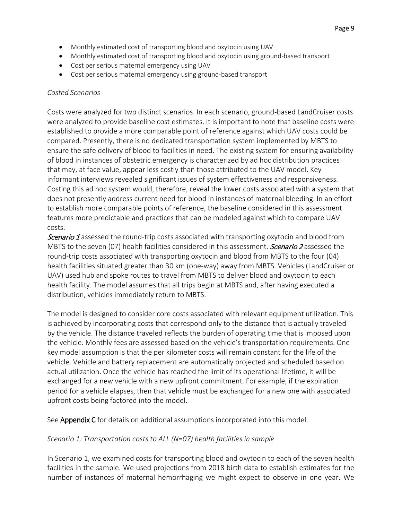- Monthly estimated cost of transporting blood and oxytocin using UAV
- Monthly estimated cost of transporting blood and oxytocin using ground-based transport
- Cost per serious maternal emergency using UAV
- Cost per serious maternal emergency using ground-based transport

#### *Costed Scenarios*

Costs were analyzed for two distinct scenarios. In each scenario, ground-based LandCruiser costs were analyzed to provide baseline cost estimates. It is important to note that baseline costs were established to provide a more comparable point of reference against which UAV costs could be compared. Presently, there is no dedicated transportation system implemented by MBTS to ensure the safe delivery of blood to facilities in need. The existing system for ensuring availability of blood in instances of obstetric emergency is characterized by ad hoc distribution practices that may, at face value, appear less costly than those attributed to the UAV model. Key informant interviews revealed significant issues of system effectiveness and responsiveness. Costing this ad hoc system would, therefore, reveal the lower costs associated with a system that does not presently address current need for blood in instances of maternal bleeding. In an effort to establish more comparable points of reference, the baseline considered in this assessment features more predictable and practices that can be modeled against which to compare UAV costs.

**Scenario 1** assessed the round-trip costs associated with transporting oxytocin and blood from MBTS to the seven (07) health facilities considered in this assessment. *Scenario 2* assessed the round-trip costs associated with transporting oxytocin and blood from MBTS to the four (04) health facilities situated greater than 30 km (one-way) away from MBTS. Vehicles (LandCruiser or UAV) used hub and spoke routes to travel from MBTS to deliver blood and oxytocin to each health facility. The model assumes that all trips begin at MBTS and, after having executed a distribution, vehicles immediately return to MBTS.

The model is designed to consider core costs associated with relevant equipment utilization. This is achieved by incorporating costs that correspond only to the distance that is actually traveled by the vehicle. The distance traveled reflects the burden of operating time that is imposed upon the vehicle. Monthly fees are assessed based on the vehicle's transportation requirements. One key model assumption is that the per kilometer costs will remain constant for the life of the vehicle. Vehicle and battery replacement are automatically projected and scheduled based on actual utilization. Once the vehicle has reached the limit of its operational lifetime, it will be exchanged for a new vehicle with a new upfront commitment. For example, if the expiration period for a vehicle elapses, then that vehicle must be exchanged for a new one with associated upfront costs being factored into the model.

See **Appendix C** for details on additional assumptions incorporated into this model.

#### *Scenario 1: Transportation costs to ALL (N=07) health facilities in sample*

In Scenario 1, we examined costs for transporting blood and oxytocin to each of the seven health facilities in the sample. We used projections from 2018 birth data to establish estimates for the number of instances of maternal hemorrhaging we might expect to observe in one year. We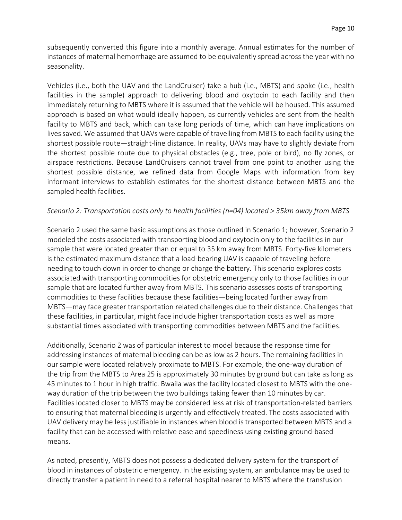subsequently converted this figure into a monthly average. Annual estimates for the number of instances of maternal hemorrhage are assumed to be equivalently spread across the year with no seasonality.

Vehicles (i.e., both the UAV and the LandCruiser) take a hub (i.e., MBTS) and spoke (i.e., health facilities in the sample) approach to delivering blood and oxytocin to each facility and then immediately returning to MBTS where it is assumed that the vehicle will be housed. This assumed approach is based on what would ideally happen, as currently vehicles are sent from the health facility to MBTS and back, which can take long periods of time, which can have implications on lives saved. We assumed that UAVs were capable of travelling from MBTS to each facility using the shortest possible route—straight-line distance. In reality, UAVs may have to slightly deviate from the shortest possible route due to physical obstacles (e.g., tree, pole or bird), no fly zones, or airspace restrictions. Because LandCruisers cannot travel from one point to another using the shortest possible distance, we refined data from Google Maps with information from key informant interviews to establish estimates for the shortest distance between MBTS and the sampled health facilities.

#### *Scenario 2: Transportation costs only to health facilities (n=04) located > 35km away from MBTS*

Scenario 2 used the same basic assumptions as those outlined in Scenario 1; however, Scenario 2 modeled the costs associated with transporting blood and oxytocin only to the facilities in our sample that were located greater than or equal to 35 km away from MBTS. Forty-five kilometers is the estimated maximum distance that a load-bearing UAV is capable of traveling before needing to touch down in order to change or charge the battery. This scenario explores costs associated with transporting commodities for obstetric emergency only to those facilities in our sample that are located further away from MBTS. This scenario assesses costs of transporting commodities to these facilities because these facilities—being located further away from MBTS—may face greater transportation related challenges due to their distance. Challenges that these facilities, in particular, might face include higher transportation costs as well as more substantial times associated with transporting commodities between MBTS and the facilities.

Additionally, Scenario 2 was of particular interest to model because the response time for addressing instances of maternal bleeding can be as low as 2 hours. The remaining facilities in our sample were located relatively proximate to MBTS. For example, the one-way duration of the trip from the MBTS to Area 25 is approximately 30 minutes by ground but can take as long as 45 minutes to 1 hour in high traffic. Bwaila was the facility located closest to MBTS with the oneway duration of the trip between the two buildings taking fewer than 10 minutes by car. Facilities located closer to MBTS may be considered less at risk of transportation-related barriers to ensuring that maternal bleeding is urgently and effectively treated. The costs associated with UAV delivery may be less justifiable in instances when blood is transported between MBTS and a facility that can be accessed with relative ease and speediness using existing ground-based means.

As noted, presently, MBTS does not possess a dedicated delivery system for the transport of blood in instances of obstetric emergency. In the existing system, an ambulance may be used to directly transfer a patient in need to a referral hospital nearer to MBTS where the transfusion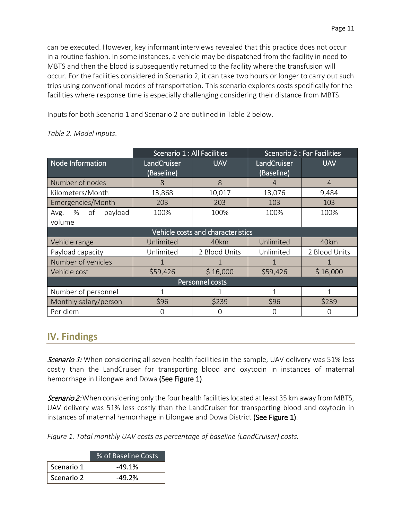can be executed. However, key informant interviews revealed that this practice does not occur in a routine fashion. In some instances, a vehicle may be dispatched from the facility in need to MBTS and then the blood is subsequently returned to the facility where the transfusion will occur. For the facilities considered in Scenario 2, it can take two hours or longer to carry out such trips using conventional modes of transportation. This scenario explores costs specifically for the facilities where response time is especially challenging considering their distance from MBTS.

Inputs for both Scenario 1 and Scenario 2 are outlined in Table 2 below.

|                                   | Scenario 1 : All Facilities |               | Scenario 2 : Far Facilities |                |
|-----------------------------------|-----------------------------|---------------|-----------------------------|----------------|
| Node Information                  | LandCruiser                 | <b>UAV</b>    | LandCruiser                 | <b>UAV</b>     |
|                                   | (Baseline)                  |               | (Baseline)                  |                |
| Number of nodes                   | 8                           | 8             | $\overline{4}$              | $\overline{4}$ |
| Kilometers/Month                  | 13,868                      | 10,017        | 13,076                      | 9,484          |
| Emergencies/Month                 | 203                         | 203           | 103                         | 103            |
| % of<br>payload<br>Avg.           | 100%                        | 100%          | 100%                        | 100%           |
| volume                            |                             |               |                             |                |
| Vehicle costs and characteristics |                             |               |                             |                |
| Vehicle range                     | Unlimited                   | 40km          | Unlimited                   | 40km           |
| Payload capacity                  | Unlimited                   | 2 Blood Units | Unlimited                   | 2 Blood Units  |
| Number of vehicles                |                             |               |                             |                |
| Vehicle cost                      | \$59,426                    | \$16,000      | \$59,426                    | \$16,000       |
| Personnel costs                   |                             |               |                             |                |
| Number of personnel               |                             |               | 1                           |                |
| Monthly salary/person             | \$96                        | \$239         | \$96                        | \$239          |
| Per diem                          |                             | O             | O                           |                |

#### *Table 2. Model inputs*.

# <span id="page-10-0"></span>**IV. Findings**

Scenario 1: When considering all seven-health facilities in the sample, UAV delivery was 51% less costly than the LandCruiser for transporting blood and oxytocin in instances of maternal hemorrhage in Lilongwe and Dowa (See Figure 1).

Scenario 2: When considering only the four health facilities located at least 35 km away from MBTS, UAV delivery was 51% less costly than the LandCruiser for transporting blood and oxytocin in instances of maternal hemorrhage in Lilongwe and Dowa District (See Figure 1).

*Figure 1. Total monthly UAV costs as percentage of baseline (LandCruiser) costs.*

|            | % of Baseline Costs |
|------------|---------------------|
| Scenario 1 | $-49.1%$            |
| Scenario 2 | $-49.2%$            |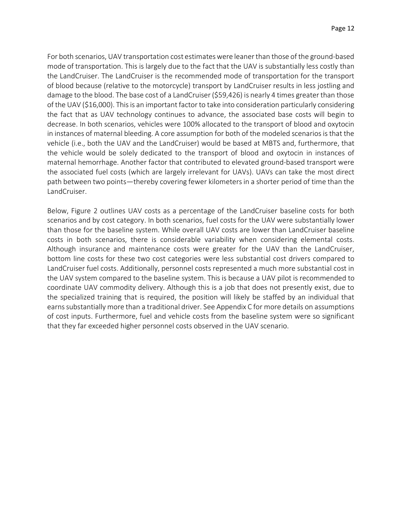For both scenarios, UAV transportation cost estimates were leaner than those of the ground-based mode of transportation. This is largely due to the fact that the UAV is substantially less costly than the LandCruiser. The LandCruiser is the recommended mode of transportation for the transport of blood because (relative to the motorcycle) transport by LandCruiser results in less jostling and damage to the blood. The base cost of a LandCruiser (\$59,426) is nearly 4 times greater than those of the UAV (\$16,000). This is an important factor to take into consideration particularly considering the fact that as UAV technology continues to advance, the associated base costs will begin to decrease. In both scenarios, vehicles were 100% allocated to the transport of blood and oxytocin in instances of maternal bleeding. A core assumption for both of the modeled scenarios is that the vehicle (i.e., both the UAV and the LandCruiser) would be based at MBTS and, furthermore, that the vehicle would be solely dedicated to the transport of blood and oxytocin in instances of maternal hemorrhage. Another factor that contributed to elevated ground-based transport were the associated fuel costs (which are largely irrelevant for UAVs). UAVs can take the most direct path between two points—thereby covering fewer kilometers in a shorter period of time than the LandCruiser.

Below, Figure 2 outlines UAV costs as a percentage of the LandCruiser baseline costs for both scenarios and by cost category. In both scenarios, fuel costs for the UAV were substantially lower than those for the baseline system. While overall UAV costs are lower than LandCruiser baseline costs in both scenarios, there is considerable variability when considering elemental costs. Although insurance and maintenance costs were greater for the UAV than the LandCruiser, bottom line costs for these two cost categories were less substantial cost drivers compared to LandCruiser fuel costs. Additionally, personnel costs represented a much more substantial cost in the UAV system compared to the baseline system. This is because a UAV pilot is recommended to coordinate UAV commodity delivery. Although this is a job that does not presently exist, due to the specialized training that is required, the position will likely be staffed by an individual that earns substantially more than a traditional driver. See Appendix C for more details on assumptions of cost inputs. Furthermore, fuel and vehicle costs from the baseline system were so significant that they far exceeded higher personnel costs observed in the UAV scenario.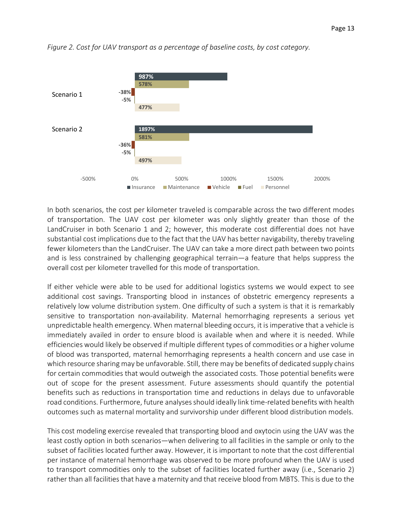

*Figure 2. Cost for UAV transport as a percentage of baseline costs, by cost category.*

In both scenarios, the cost per kilometer traveled is comparable across the two different modes of transportation. The UAV cost per kilometer was only slightly greater than those of the LandCruiser in both Scenario 1 and 2; however, this moderate cost differential does not have substantial cost implications due to the fact that the UAV has better navigability, thereby traveling fewer kilometers than the LandCruiser. The UAV can take a more direct path between two points and is less constrained by challenging geographical terrain—a feature that helps suppress the overall cost per kilometer travelled for this mode of transportation.

If either vehicle were able to be used for additional logistics systems we would expect to see additional cost savings. Transporting blood in instances of obstetric emergency represents a relatively low volume distribution system. One difficulty of such a system is that it is remarkably sensitive to transportation non-availability. Maternal hemorrhaging represents a serious yet unpredictable health emergency. When maternal bleeding occurs, it is imperative that a vehicle is immediately availed in order to ensure blood is available when and where it is needed. While efficiencies would likely be observed if multiple different types of commodities or a higher volume of blood was transported, maternal hemorrhaging represents a health concern and use case in which resource sharing may be unfavorable. Still, there may be benefits of dedicated supply chains for certain commodities that would outweigh the associated costs. Those potential benefits were out of scope for the present assessment. Future assessments should quantify the potential benefits such as reductions in transportation time and reductions in delays due to unfavorable road conditions. Furthermore, future analyses should ideally link time-related benefits with health outcomes such as maternal mortality and survivorship under different blood distribution models.

This cost modeling exercise revealed that transporting blood and oxytocin using the UAV was the least costly option in both scenarios—when delivering to all facilities in the sample or only to the subset of facilities located further away. However, it is important to note that the cost differential per instance of maternal hemorrhage was observed to be more profound when the UAV is used to transport commodities only to the subset of facilities located further away (i.e., Scenario 2) rather than all facilities that have a maternity and that receive blood from MBTS. This is due to the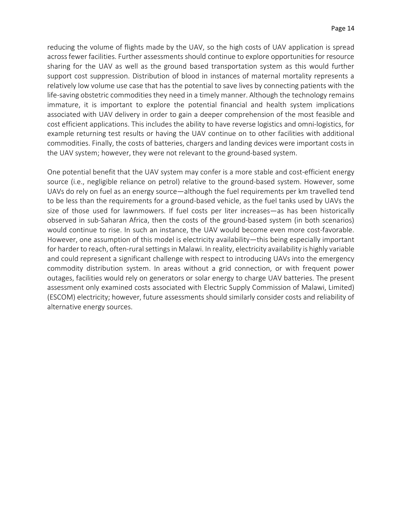reducing the volume of flights made by the UAV, so the high costs of UAV application is spread across fewer facilities. Further assessments should continue to explore opportunities for resource sharing for the UAV as well as the ground based transportation system as this would further support cost suppression. Distribution of blood in instances of maternal mortality represents a relatively low volume use case that has the potential to save lives by connecting patients with the life-saving obstetric commodities they need in a timely manner. Although the technology remains immature, it is important to explore the potential financial and health system implications associated with UAV delivery in order to gain a deeper comprehension of the most feasible and cost efficient applications. This includes the ability to have reverse logistics and omni-logistics, for example returning test results or having the UAV continue on to other facilities with additional commodities. Finally, the costs of batteries, chargers and landing devices were important costs in the UAV system; however, they were not relevant to the ground-based system.

One potential benefit that the UAV system may confer is a more stable and cost-efficient energy source (i.e., negligible reliance on petrol) relative to the ground-based system. However, some UAVs do rely on fuel as an energy source—although the fuel requirements per km travelled tend to be less than the requirements for a ground-based vehicle, as the fuel tanks used by UAVs the size of those used for lawnmowers. If fuel costs per liter increases—as has been historically observed in sub-Saharan Africa, then the costs of the ground-based system (in both scenarios) would continue to rise. In such an instance, the UAV would become even more cost-favorable. However, one assumption of this model is electricity availability—this being especially important for harder to reach, often-rural settings in Malawi. In reality, electricity availability is highly variable and could represent a significant challenge with respect to introducing UAVs into the emergency commodity distribution system. In areas without a grid connection, or with frequent power outages, facilities would rely on generators or solar energy to charge UAV batteries. The present assessment only examined costs associated with Electric Supply Commission of Malawi, Limited) (ESCOM) electricity; however, future assessments should similarly consider costs and reliability of alternative energy sources.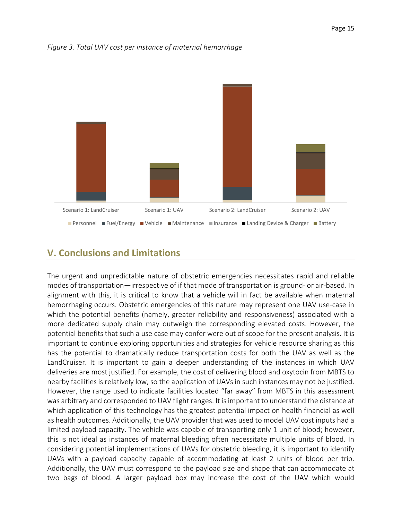

#### *Figure 3. Total UAV cost per instance of maternal hemorrhage*

# <span id="page-14-0"></span>**V. Conclusions and Limitations**

The urgent and unpredictable nature of obstetric emergencies necessitates rapid and reliable modes of transportation—irrespective of if that mode of transportation is ground- or air-based. In alignment with this, it is critical to know that a vehicle will in fact be available when maternal hemorrhaging occurs. Obstetric emergencies of this nature may represent one UAV use-case in which the potential benefits (namely, greater reliability and responsiveness) associated with a more dedicated supply chain may outweigh the corresponding elevated costs. However, the potential benefits that such a use case may confer were out of scope for the present analysis. It is important to continue exploring opportunities and strategies for vehicle resource sharing as this has the potential to dramatically reduce transportation costs for both the UAV as well as the LandCruiser. It is important to gain a deeper understanding of the instances in which UAV deliveries are most justified. For example, the cost of delivering blood and oxytocin from MBTS to nearby facilities is relatively low, so the application of UAVs in such instances may not be justified. However, the range used to indicate facilities located "far away" from MBTS in this assessment was arbitrary and corresponded to UAV flight ranges. It is important to understand the distance at which application of this technology has the greatest potential impact on health financial as well as health outcomes. Additionally, the UAV provider that was used to model UAV cost inputs had a limited payload capacity. The vehicle was capable of transporting only 1 unit of blood; however, this is not ideal as instances of maternal bleeding often necessitate multiple units of blood. In considering potential implementations of UAVs for obstetric bleeding, it is important to identify UAVs with a payload capacity capable of accommodating at least 2 units of blood per trip. Additionally, the UAV must correspond to the payload size and shape that can accommodate at two bags of blood. A larger payload box may increase the cost of the UAV which would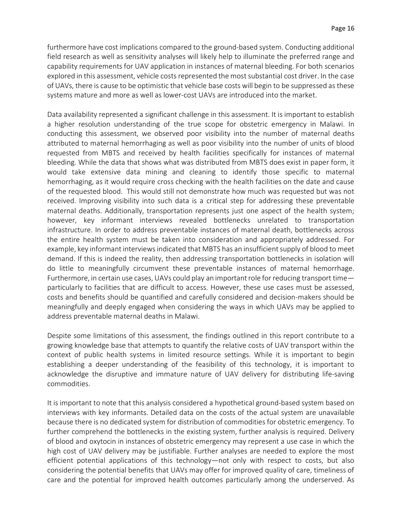furthermore have cost implications compared to the ground-based system. Conducting additional field research as well as sensitivity analyses will likely help to illuminate the preferred range and capability requirements for UAV application in instances of maternal bleeding. For both scenarios explored in this assessment, vehicle costs represented the most substantial cost driver. In the case of UAVs, there is cause to be optimistic that vehicle base costs will begin to be suppressed as these systems mature and more as well as lower-cost UAVs are introduced into the market.

Data availability represented a significant challenge in this assessment. It is important to establish a higher resolution understanding of the true scope for obstetric emergency in Malawi. In conducting this assessment, we observed poor visibility into the number of maternal deaths attributed to maternal hemorrhaging as well as poor visibility into the number of units of blood requested from MBTS and received by health facilities specifically for instances of maternal bleeding. While the data that shows what was distributed from MBTS does exist in paper form, it would take extensive data mining and cleaning to identify those specific to maternal hemorrhaging, as it would require cross checking with the health facilities on the date and cause of the requested blood. This would still not demonstrate how much was requested but was not received. Improving visibility into such data is a critical step for addressing these preventable maternal deaths. Additionally, transportation represents just one aspect of the health system; however, key informant interviews revealed bottlenecks unrelated to transportation infrastructure. In order to address preventable instances of maternal death, bottlenecks across the entire health system must be taken into consideration and appropriately addressed. For example, key informant interviews indicated that MBTS has an insufficient supply of blood to meet demand. If this is indeed the reality, then addressing transportation bottlenecks in isolation will do little to meaningfully circumvent these preventable instances of maternal hemorrhage. Furthermore, in certain use cases, UAVs could play an important role for reducing transport time particularly to facilities that are difficult to access. However, these use cases must be assessed, costs and benefits should be quantified and carefully considered and decision-makers should be meaningfully and deeply engaged when considering the ways in which UAVs may be applied to address preventable maternal deaths in Malawi.

Despite some limitations of this assessment, the findings outlined in this report contribute to a growing knowledge base that attempts to quantify the relative costs of UAV transport within the context of public health systems in limited resource settings. While it is important to begin establishing a deeper understanding of the feasibility of this technology, it is important to acknowledge the disruptive and immature nature of UAV delivery for distributing life-saving commodities.

It is important to note that this analysis considered a hypothetical ground-based system based on interviews with key informants. Detailed data on the costs of the actual system are unavailable because there is no dedicated system for distribution of commodities for obstetric emergency. To further comprehend the bottlenecks in the existing system, further analysis is required. Delivery of blood and oxytocin in instances of obstetric emergency may represent a use case in which the high cost of UAV delivery may be justifiable. Further analyses are needed to explore the most efficient potential applications of this technology—not only with respect to costs, but also considering the potential benefits that UAVs may offer for improved quality of care, timeliness of care and the potential for improved health outcomes particularly among the underserved. As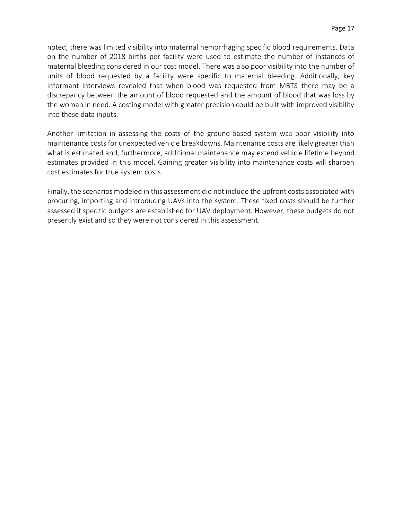noted, there was limited visibility into maternal hemorrhaging specific blood requirements. Data on the number of 2018 births per facility were used to estimate the number of instances of maternal bleeding considered in our cost model. There was also poor visibility into the number of units of blood requested by a facility were specific to maternal bleeding. Additionally, key informant interviews revealed that when blood was requested from MBTS there may be a discrepancy between the amount of blood requested and the amount of blood that was loss by the woman in need. A costing model with greater precision could be built with improved visibility into these data inputs.

Another limitation in assessing the costs of the ground-based system was poor visibility into maintenance costs for unexpected vehicle breakdowns. Maintenance costs are likely greater than what is estimated and, furthermore, additional maintenance may extend vehicle lifetime beyond estimates provided in this model. Gaining greater visibility into maintenance costs will sharpen cost estimates for true system costs.

Finally, the scenarios modeled in this assessment did not include the upfront costs associated with procuring, importing and introducing UAVs into the system. These fixed costs should be further assessed if specific budgets are established for UAV deployment. However, these budgets do not presently exist and so they were not considered in this assessment.